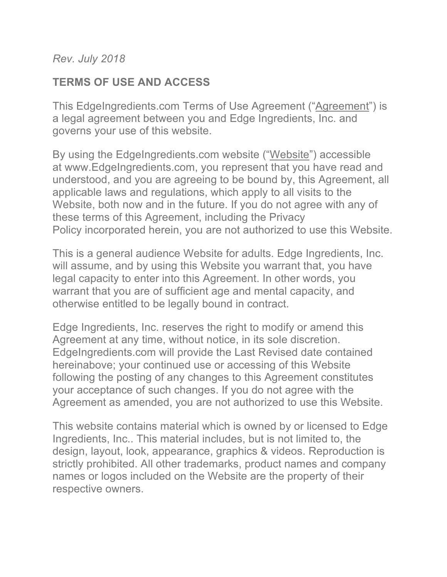*Rev. July 2018*

## **TERMS OF USE AND ACCESS**

This EdgeIngredients.com Terms of Use Agreement ("Agreement") is a legal agreement between you and Edge Ingredients, Inc. and governs your use of this website.

By using the EdgeIngredients.com website ("Website") accessible at www.EdgeIngredients.com, you represent that you have read and understood, and you are agreeing to be bound by, this Agreement, all applicable laws and regulations, which apply to all visits to the Website, both now and in the future. If you do not agree with any of these terms of this Agreement, including the Privacy Policy incorporated herein, you are not authorized to use this Website.

This is a general audience Website for adults. Edge Ingredients, Inc. will assume, and by using this Website you warrant that, you have legal capacity to enter into this Agreement. In other words, you warrant that you are of sufficient age and mental capacity, and otherwise entitled to be legally bound in contract.

Edge Ingredients, Inc. reserves the right to modify or amend this Agreement at any time, without notice, in its sole discretion. EdgeIngredients.com will provide the Last Revised date contained hereinabove; your continued use or accessing of this Website following the posting of any changes to this Agreement constitutes your acceptance of such changes. If you do not agree with the Agreement as amended, you are not authorized to use this Website.

This website contains material which is owned by or licensed to Edge Ingredients, Inc.. This material includes, but is not limited to, the design, layout, look, appearance, graphics & videos. Reproduction is strictly prohibited. All other trademarks, product names and company names or logos included on the Website are the property of their respective owners.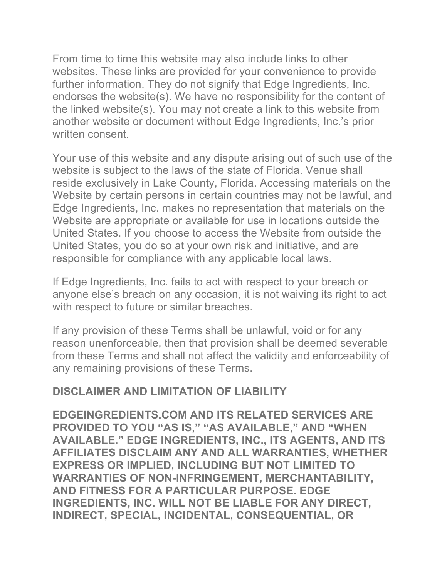From time to time this website may also include links to other websites. These links are provided for your convenience to provide further information. They do not signify that Edge Ingredients, Inc. endorses the website(s). We have no responsibility for the content of the linked website(s). You may not create a link to this website from another website or document without Edge Ingredients, Inc.'s prior written consent.

Your use of this website and any dispute arising out of such use of the website is subject to the laws of the state of Florida. Venue shall reside exclusively in Lake County, Florida. Accessing materials on the Website by certain persons in certain countries may not be lawful, and Edge Ingredients, Inc. makes no representation that materials on the Website are appropriate or available for use in locations outside the United States. If you choose to access the Website from outside the United States, you do so at your own risk and initiative, and are responsible for compliance with any applicable local laws.

If Edge Ingredients, Inc. fails to act with respect to your breach or anyone else's breach on any occasion, it is not waiving its right to act with respect to future or similar breaches.

If any provision of these Terms shall be unlawful, void or for any reason unenforceable, then that provision shall be deemed severable from these Terms and shall not affect the validity and enforceability of any remaining provisions of these Terms.

## **DISCLAIMER AND LIMITATION OF LIABILITY**

**EDGEINGREDIENTS.COM AND ITS RELATED SERVICES ARE PROVIDED TO YOU "AS IS," "AS AVAILABLE," AND "WHEN AVAILABLE." EDGE INGREDIENTS, INC., ITS AGENTS, AND ITS AFFILIATES DISCLAIM ANY AND ALL WARRANTIES, WHETHER EXPRESS OR IMPLIED, INCLUDING BUT NOT LIMITED TO WARRANTIES OF NON-INFRINGEMENT, MERCHANTABILITY, AND FITNESS FOR A PARTICULAR PURPOSE. EDGE INGREDIENTS, INC. WILL NOT BE LIABLE FOR ANY DIRECT, INDIRECT, SPECIAL, INCIDENTAL, CONSEQUENTIAL, OR**